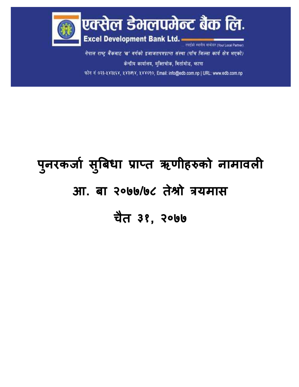

नेपाल राष्ट्र बैंकबाट 'ख' वर्गको इजाजतपत्रप्राप्त संस्था (पाँच जिल्ला कार्य क्षेत्र भएको) केन्द्रीय कार्यालय, मुक्तिचोक, बिर्तामोड, फ़ापा फोन नं ०२३-१४३१६४, १४३७१४, १४४०१०, Email: info@edb.com.np | URL: www.edb.com.np

## **प ु नरकर्जा सु बिधज प्रजप्त ऋणीहरुको नजमजवली आ. िज २०७७/७८ तेश्रो त्रयमजस चैत ३१, २०७७**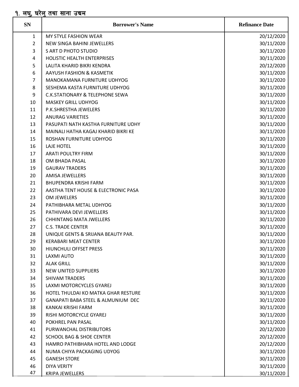## <u>१. लघु, घरेलु तथा साना उद्यम</u>

| <b>SN</b>      | <b>Borrower's Name</b>                        | <b>Refinance Date</b> |
|----------------|-----------------------------------------------|-----------------------|
| $\mathbf{1}$   | MY STYLE FASHION WEAR                         | 20/12/2020            |
| $\overline{2}$ | <b>NEW SINGA BAHINI JEWELLERS</b>             | 30/11/2020            |
| 3              | S ART D PHOTO STUDIO                          | 30/11/2020            |
| 4              | HOLISTIC HEALTH ENTERPRISES                   | 30/11/2020            |
| 5              | LALITA KHARID BIKRI KENDRA                    | 20/12/2020            |
| 6              | AAYUSH FASHION & KASMETIK                     | 30/11/2020            |
| $\overline{7}$ | MANOKAMANA FURNITURE UDHYOG                   | 30/11/2020            |
| 8              | SESHEMA KASTA FURNITURE UDHYOG                | 30/11/2020            |
| 9              | <b>C.K.STATIONARY &amp; TELEPHONE SEWA</b>    | 30/11/2020            |
| 10             | <b>MASKEY GRILL UDHYOG</b>                    | 30/11/2020            |
| 11             | P.K.SHRESTHA JEWELERS                         | 30/11/2020            |
| 12             | <b>ANURAG VARIETIES</b>                       | 30/11/2020            |
| 13             | PASUPATI NATH KASTHA FURNITURE UDHY           | 30/11/2020            |
| 14             | MAINALI HATHA KAGAJ KHARID BIKRI KE           | 30/11/2020            |
| 15             | ROSHAN FURNITURE UDHYOG                       | 30/11/2020            |
| 16             | LAJE HOTEL                                    | 30/11/2020            |
| 17             | <b>ARATI POULTRY FIRM</b>                     | 30/11/2020            |
| 18             | OM BHADA PASAL                                | 30/11/2020            |
| 19             | <b>GAURAV TRADERS</b>                         | 30/11/2020            |
| 20             | <b>AMISA JEWELLERS</b>                        | 30/11/2020            |
| 21             | <b>BHUPENDRA KRISHI FARM</b>                  | 30/11/2020            |
| 22             | AASTHA TENT HOUSE & ELECTRONIC PASA           | 30/11/2020            |
| 23             | OM JEWELERS                                   | 30/11/2020            |
| 24             | PATHIBHARA METAL UDHYOG                       | 30/11/2020            |
| 25             | PATHIVARA DEVI JEWELLERS                      | 30/11/2020            |
| 26             | <b>CHHINTANG MATA JWELLERS</b>                | 30/11/2020            |
| 27             | <b>C.S. TRADE CENTER</b>                      | 30/11/2020            |
| 28             | UNIQUE GENTS & SRIJANA BEAUTY PAR.            | 30/11/2020            |
| 29             | <b>KERABARI MEAT CENTER</b>                   | 30/11/2020            |
| 30             | <b>HIUNCHULI OFFSET PRESS</b>                 | 30/11/2020            |
| 31             | <b>LAXMI AUTO</b>                             | 30/11/2020            |
| 32             | <b>ALAK GRILL</b>                             | 30/11/2020            |
| 33             | <b>NEW UNITED SUPPLIERS</b>                   | 30/11/2020            |
| 34             | <b>SHIVAM TRADERS</b>                         | 30/11/2020            |
| 35             | LAXMI MOTORCYCLES GYAREJ                      | 30/11/2020            |
| 36             | HOTEL THULDAI KO MATKA GHAR RESTURE           | 30/11/2020            |
| 37             | <b>GANAPATI BABA STEEL &amp; ALMUNIUM DEC</b> | 30/11/2020            |
| 38             | KANKAI KRISHI FARM                            | 30/11/2020            |
| 39             | RISHI MOTORCYCLE GYAREJ                       | 30/11/2020            |
| 40             | POKHREL PAN PASAL                             | 30/11/2020            |
| 41             | PURWANCHAL DISTRIBUTORS                       | 20/12/2020            |
| 42             | <b>SCHOOL BAG &amp; SHOE CENTER</b>           | 20/12/2020            |
| 43             | HAMRO PATHIBHARA HOTEL AND LODGE              | 20/12/2020            |
| 44             | NUMA CHIYA PACKAGING UDYOG                    | 30/11/2020            |
| 45             | <b>GANESH STORE</b>                           | 30/11/2020            |
| 46             | <b>DIYA VERITY</b>                            | 30/11/2020            |
| 47             | KRIPA JEWELLERS                               | 30/11/2020            |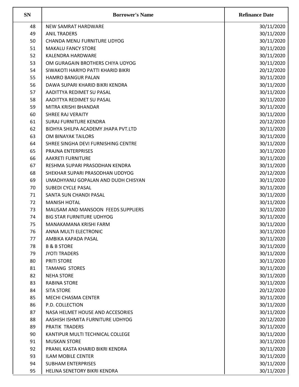| <b>SN</b> | <b>Borrower's Name</b>              | <b>Refinance Date</b> |
|-----------|-------------------------------------|-----------------------|
| 48        | <b>NEW SAMRAT HARDWARE</b>          | 30/11/2020            |
| 49        | <b>ANIL TRADERS</b>                 | 30/11/2020            |
| 50        | CHANDA MENU FURNITURE UDYOG         | 30/11/2020            |
| 51        | <b>MAKALU FANCY STORE</b>           | 30/11/2020            |
| 52        | KALENDRA HARDWARE                   | 30/11/2020            |
| 53        | OM GURAGAIN BROTHERS CHIYA UDYOG    | 30/11/2020            |
| 54        | SIWAKOTI HARIYO PATTI KHARID BIKRI  | 20/12/2020            |
| 55        | <b>HAMRO BANGUR PALAN</b>           | 30/11/2020            |
| 56        | DAWA SUPARI KHARID BIKRI KENDRA     | 30/11/2020            |
| 57        | AADITTYA REDIMET SU PASAL           | 30/11/2020            |
| 58        | AADITTYA REDIMET SU PASAL           | 30/11/2020            |
| 59        | MITRA KRISHI BHANDAR                | 30/11/2020            |
| 60        | <b>SHREE RAJ VERAITY</b>            | 30/11/2020            |
| 61        | <b>SURAJ FURNITURE KENDRA</b>       | 20/12/2020            |
| 62        | BIDHYA SHILPA ACADEMY JHAPA PVT.LTD | 30/11/2020            |
| 63        | OM BINAYAK TAILORS                  | 30/11/2020            |
| 64        | SHREE SINGHA DEVI FURNISHING CENTRE | 30/11/2020            |
| 65        | PRAJNA ENTERPRISES                  | 30/11/2020            |
| 66        | <b>AAKRETI FURNITURE</b>            | 30/11/2020            |
| 67        | RESHMA SUPARI PRASODHAN KENDRA      | 30/11/2020            |
| 68        | SHEKHAR SUPARI PRASODHAN UDDYOG     | 20/12/2020            |
| 69        | UMADHYANU GOPALAN AND DUDH CHISYAN  | 30/11/2020            |
| 70        | <b>SUBEDI CYCLE PASAL</b>           | 30/11/2020            |
| 71        | SANTA SUN CHANDI PASAL              | 30/11/2020            |
| 72        | <b>MANISH HOTAL</b>                 | 30/11/2020            |
| 73        | MAUSAM AND MANSOON FEEDS SUPPLIERS  | 30/11/2020            |
| 74        | <b>BIG STAR FURNITURE UDHYOG</b>    | 30/11/2020            |
| 75        | MANAKAMANA KRISHI FARM              | 30/11/2020            |
| 76        | ANNA MULTI ELECTRONIC               | 30/11/2020            |
| 77        | AMBIKA KAPADA PASAL                 | 30/11/2020            |
| 78        | <b>B &amp; B STORE</b>              | 30/11/2020            |
| 79        | <b>JYOTI TRADERS</b>                | 30/11/2020            |
| 80        | PRITI STORE                         | 30/11/2020            |
| 81        | <b>TAMANG STORES</b>                | 30/11/2020            |
| 82        | <b>NEHA STORE</b>                   | 30/11/2020            |
| 83        | <b>RABINA STORE</b>                 | 30/11/2020            |
| 84        | <b>SITA STORE</b>                   | 20/12/2020            |
| 85        | MECHI CHASMA CENTER                 | 30/11/2020            |
| 86        | P.D. COLLECTION                     | 30/11/2020            |
|           |                                     |                       |
| 87        | NASA HELMET HOUSE AND ACCESORIES    | 30/11/2020            |
| 88        | AASHISH ISHMITA FURNITURE UDHYOG    | 20/12/2020            |
| 89        | PRATIK TRADERS                      | 30/11/2020            |
| 90        | KANTIPUR MULTI TECHNICAL COLLEGE    | 30/11/2020            |
| 91        | <b>MUSKAN STORE</b>                 | 30/11/2020            |
| 92        | PRANIL KASTA KHARID BIKRI KENDRA    | 30/11/2020            |
| 93        | <b>ILAM MOBILE CENTER</b>           | 30/11/2020            |
| 94        | <b>SUBHAM ENTERPRISES</b>           | 30/11/2020            |
| 95        | HELINA SENETORY BIKRI KENDRA        | 30/11/2020            |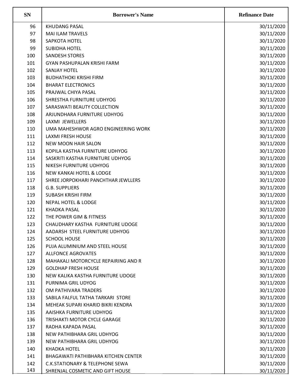| <b>SN</b> | <b>Borrower's Name</b>                     | <b>Refinance Date</b> |
|-----------|--------------------------------------------|-----------------------|
| 96        | <b>KHUDANG PASAL</b>                       | 30/11/2020            |
| 97        | <b>MAI ILAM TRAVELS</b>                    | 30/11/2020            |
| 98        | SAPKOTA HOTEL                              | 30/11/2020            |
| 99        | <b>SUBIDHA HOTEL</b>                       | 30/11/2020            |
| 100       | <b>SANDESH STORES</b>                      | 30/11/2020            |
| 101       | GYAN PASHUPALAN KRISHI FARM                | 30/11/2020            |
| 102       | <b>SANJAY HOTEL</b>                        | 30/11/2020            |
| 103       | <b>BUDHATHOKI KRISHI FIRM</b>              | 30/11/2020            |
| 104       | <b>BHARAT ELECTRONICS</b>                  | 30/11/2020            |
| 105       | PRAJWAL CHIYA PASAL                        | 30/11/2020            |
| 106       | SHRESTHA FURNITURE UDHYOG                  | 30/11/2020            |
| 107       | SARASWATI BEAUTY COLLECTION                | 30/11/2020            |
| 108       | ARJUNDHARA FURNITURE UDHYOG                | 30/11/2020            |
| 109       | LAXMI JEWELLERS                            | 30/11/2020            |
| 110       | UMA MAHESHWOR AGRO ENGINEERING WORK        | 30/11/2020            |
| 111       | <b>LAXMI FRESH HOUSE</b>                   | 30/11/2020            |
| 112       | <b>NEW MOON HAIR SALON</b>                 | 30/11/2020            |
| 113       | KOPILA KASTHA FURNITURE UDHYOG             | 30/11/2020            |
| 114       | SASKRITI KASTHA FURNITURE UDHYOG           | 30/11/2020            |
| 115       | NIKESH FURNITURE UDHYOG                    | 30/11/2020            |
| 116       | <b>NEW KANKAI HOTEL &amp; LODGE</b>        | 30/11/2020            |
| 117       | SHREE JORPOKHARI PANCHTHAR JEWLLERS        | 30/11/2020            |
| 118       | <b>G.B. SUPPLIERS</b>                      | 30/11/2020            |
| 119       | <b>SUBASH KRISHI FIRM</b>                  | 30/11/2020            |
| 120       | <b>NEPAL HOTEL &amp; LODGE</b>             | 30/11/2020            |
| 121       | <b>KHADKA PASAL</b>                        | 30/11/2020            |
| 122       | THE POWER GIM & FITNESS                    | 30/11/2020            |
| 123       | CHAUDHARY KASTHA FURNITURE UDOGE           | 30/11/2020            |
| 124       | AADARSH STEEL FURNITURE UDHYOG             | 30/11/2020            |
| 125       | <b>SCHOOL HOUSE</b>                        | 30/11/2020            |
| 126       | PUJA ALUMINIUM AND STEEL HOUSE             | 30/11/2020            |
| 127       | <b>ALLFONCE AGROVATES</b>                  | 30/11/2020            |
| 128       | MAHAKALI MOTORCYCLE REPAIRING AND R        | 30/11/2020            |
| 129       | <b>GOLDHAP FRESH HOUSE</b>                 | 30/11/2020            |
| 130       | NEW KALIKA KASTHA FURNITURE UDOGE          | 30/11/2020            |
| 131       | PURNIMA GRIL UDYOG                         | 30/11/2020            |
| 132       | OM PATHIVARA TRADERS                       | 30/11/2020            |
| 133       | SABILA FALFUL TATHA TARKARI STORE          | 30/11/2020            |
| 134       | MEHEAK SUPARI KHARID BIKRI KENDRA          | 30/11/2020            |
| 135       | AAISHKA FURNITURE UDHYOG                   | 30/11/2020            |
| 136       | TRISHAKTI MOTOR CYCLE GARAGE               | 30/11/2020            |
| 137       | RADHA KAPADA PASAL                         | 30/11/2020            |
| 138       | NEW PATHIBHARA GRIL UDHYOG                 | 30/11/2020            |
| 139       | NEW PATHIBHARA GRIL UDHYOG                 | 30/11/2020            |
| 140       | <b>KHADKA HOTEL</b>                        | 30/11/2020            |
| 141       | <b>BHAGAWATI PATHIBHARA KITCHEN CENTER</b> | 30/11/2020            |
| 142       | <b>C.K.STATIONARY &amp; TELEPHONE SEWA</b> | 30/11/2020            |
| 143       | SHRENJAL COSMETIC AND GIFT HOUSE           | 30/11/2020            |